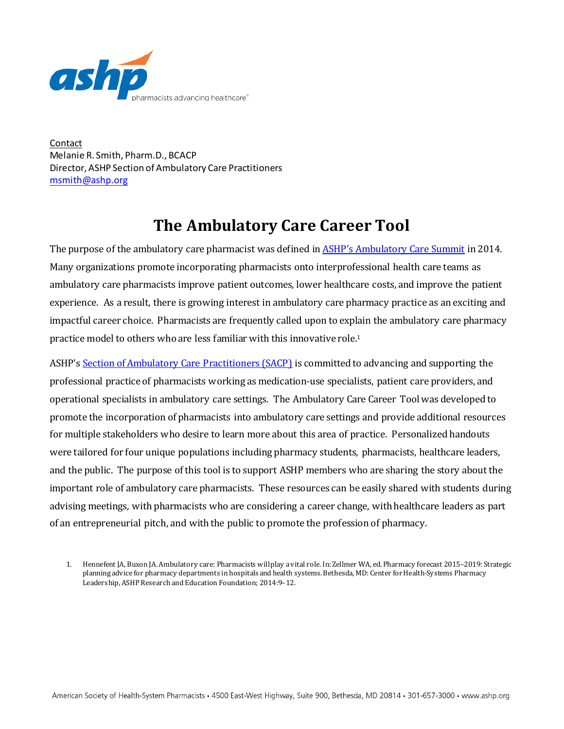

Contact Melanie R. Smith, Pharm.D., BCACP Director, ASHP Section of Ambulatory Care Practitioners [msmith@ashp.org](mailto:msmith@ashp.org)

# **The Ambulatory Care Career Tool**

The purpose of the ambulatory care pharmacist was defined i[n ASHP's Ambulatory Care Summit](http://www.ajhp.org/content/71/16/1390) in 2014. Many organizations promote incorporating pharmacists onto interprofessional health care teams as ambulatory care pharmacists improve patient outcomes, lower healthcare costs, and improve the patient experience. As a result, there is growing interest in ambulatory care pharmacy practice as an exciting and impactful career choice. Pharmacists are frequently called upon to explain the ambulatory care pharmacy practice model to others who are less familiar with this innovative role.1

ASHP'[s Section of Ambulatory Care Practitioners \(SACP\)](https://www.ashp.org/Ambulatory-Care-Practitioner/Section-of-Ambulatory-Care-Practitioners) is committed to advancing and supporting the professional practice of pharmacists working as medication-use specialists, patient care providers, and operational specialists in ambulatory care settings. The Ambulatory Care Career Toolwas developed to promote the incorporation of pharmacists into ambulatory care settings and provide additional resources for multiple stakeholders who desire to learn more about this area of practice. Personalized handouts were tailored for four unique populations including pharmacy students, pharmacists, healthcare leaders, and the public. The purpose of this tool is to support ASHP members who are sharing the story about the important role of ambulatory care pharmacists. These resources can be easily shared with students during advising meetings, with pharmacists who are considering a career change, with healthcare leaders as part of an entrepreneurial pitch, and with the public to promote the profession of pharmacy.

1. Hennefent JA, Buxon JA. Ambulatory care: Pharmacists will play a vital role. In: Zellmer WA, ed. Pharmacy forecast 2015–2019: Strategic planning advice for pharmacy departments in hospitals and health systems. Bethesda, MD: Center for Health-Systems Pharmacy Leadership, ASHP Research and Education Foundation; 2014:9–12.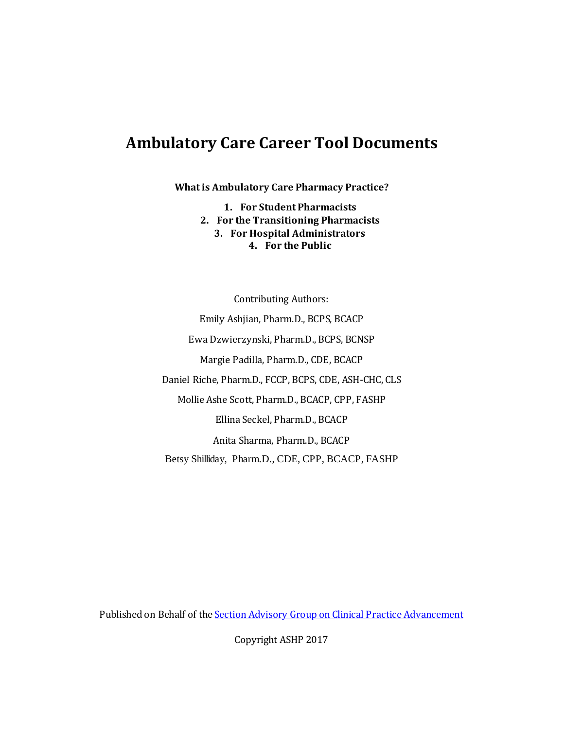# **Ambulatory Care Career Tool Documents**

**What is Ambulatory Care Pharmacy Practice?** 

**1. For Student Pharmacists**

- **2. For the Transitioning Pharmacists**
	- **3. For Hospital Administrators**
		- **4. For the Public**

Contributing Authors: Emily Ashjian, Pharm.D., BCPS, BCACP Ewa Dzwierzynski, Pharm.D., BCPS, BCNSP Margie Padilla, Pharm.D., CDE, BCACP Daniel Riche, Pharm.D., FCCP, BCPS, CDE, ASH-CHC, CLS Mollie Ashe Scott, Pharm.D., BCACP, CPP, FASHP Ellina Seckel, Pharm.D., BCACP Anita Sharma, Pharm.D., BCACP Betsy Shilliday, Pharm.D., CDE, CPP, BCACP, FASHP

Published on Behalf of th[e Section Advisory Group on Clinical Practice Advancement](https://www.ashp.org/Ambulatory-Care-Practitioner/Section-of-Ambulatory-Care-Practitioners/About-Us/SACP-Section-Advisory-Groups)

Copyright ASHP 2017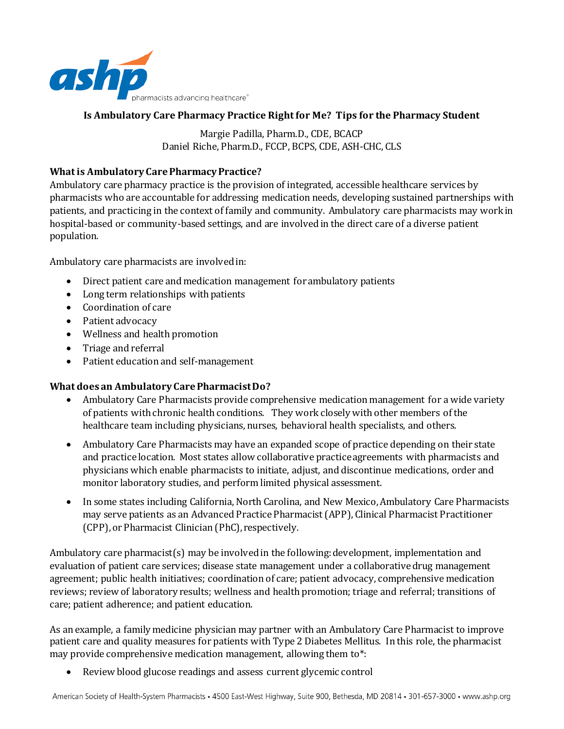

#### **Is Ambulatory Care Pharmacy Practice Right for Me? Tips for the Pharmacy Student**

Margie Padilla, Pharm.D., CDE, BCACP Daniel Riche, Pharm.D., FCCP, BCPS, CDE, ASH-CHC, CLS

### **What is Ambulatory Care Pharmacy Practice?**

Ambulatory care pharmacy practice is the provision of integrated, accessible healthcare services by pharmacists who are accountable for addressing medication needs, developing sustained partnerships with patients, and practicing in the context of family and community. Ambulatory care pharmacists may work in hospital-based or community-based settings, and are involved in the direct care of a diverse patient population.

Ambulatory care pharmacists are involved in:

- Direct patient care and medication management for ambulatory patients
- Long term relationships with patients
- Coordination of care
- Patient advocacy
- Wellness and health promotion
- Triage and referral
- Patient education and self-management

#### **What does an Ambulatory Care Pharmacist Do?**

- Ambulatory Care Pharmacists provide comprehensive medication management for a wide variety of patients with chronic health conditions. They work closely with other members of the healthcare team including physicians, nurses, behavioral health specialists, and others.
- Ambulatory Care Pharmacists may have an expanded scope of practice depending on their state and practice location. Most states allow collaborative practice agreements with pharmacists and physicians which enable pharmacists to initiate, adjust, and discontinue medications, order and monitor laboratory studies, and perform limited physical assessment.
- In some states including California, North Carolina, and New Mexico, Ambulatory Care Pharmacists may serve patients as an Advanced Practice Pharmacist (APP), Clinical Pharmacist Practitioner (CPP), or Pharmacist Clinician (PhC), respectively.

Ambulatory care pharmacist(s) may be involved in the following: development, implementation and evaluation of patient care services; disease state management under a collaborative drug management agreement; public health initiatives; coordination of care; patient advocacy, comprehensive medication reviews; review of laboratory results; wellness and health promotion; triage and referral; transitions of care; patient adherence; and patient education.

As an example, a family medicine physician may partner with an Ambulatory Care Pharmacist to improve patient care and quality measures for patients with Type 2 Diabetes Mellitus. In this role, the pharmacist may provide comprehensive medication management, allowing them to\*:

• Review blood glucose readings and assess current glycemic control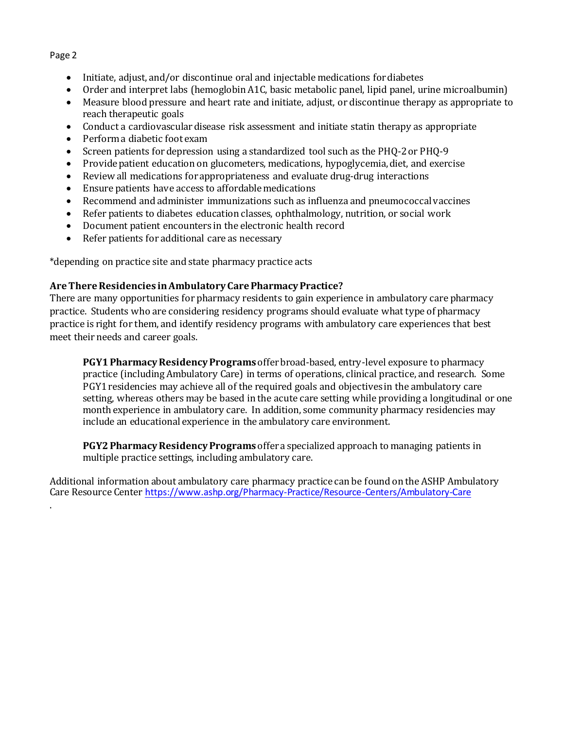.

- Initiate, adjust, and/or discontinue oral and injectable medications for diabetes
- Order and interpret labs (hemoglobin A1C, basic metabolic panel, lipid panel, urine microalbumin)
- Measure blood pressure and heart rate and initiate, adjust, or discontinue therapy as appropriate to reach therapeutic goals
- Conduct a cardiovascular disease risk assessment and initiate statin therapy as appropriate
- Perform a diabetic foot exam
- Screen patients for depression using a standardized tool such as the PHQ-2 or PHQ-9
- Provide patient education on glucometers, medications, hypoglycemia, diet, and exercise
- Review all medications for appropriateness and evaluate drug-drug interactions
- Ensure patients have access to affordable medications
- Recommend and administer immunizations such as influenza and pneumococcal vaccines
- Refer patients to diabetes education classes, ophthalmology, nutrition, or social work
- Document patient encounters in the electronic health record<br>• Refer patients for additional care as necessary
- Refer patients for additional care as necessary

\*depending on practice site and state pharmacy practice acts

#### **Are There Residencies in Ambulatory Care Pharmacy Practice?**

There are many opportunities for pharmacy residents to gain experience in ambulatory care pharmacy practice. Students who are considering residency programs should evaluate what type of pharmacy practice is right for them, and identify residency programs with ambulatory care experiences that best meet their needs and career goals.

**PGY1 Pharmacy Residency Programs** offer broad-based, entry-level exposure to pharmacy practice (including Ambulatory Care) in terms of operations, clinical practice, and research. Some PGY1 residencies may achieve all of the required goals and objectives in the ambulatory care setting, whereas others may be based in the acute care setting while providing a longitudinal or one month experience in ambulatory care. In addition, some community pharmacy residencies may include an educational experience in the ambulatory care environment.

**PGY2 Pharmacy Residency Programs** offer a specialized approach to managing patients in multiple practice settings, including ambulatory care.

Additional information about ambulatory care pharmacy practice can be found on the ASHP Ambulatory Care Resource Center <https://www.ashp.org/Pharmacy-Practice/Resource-Centers/Ambulatory-Care>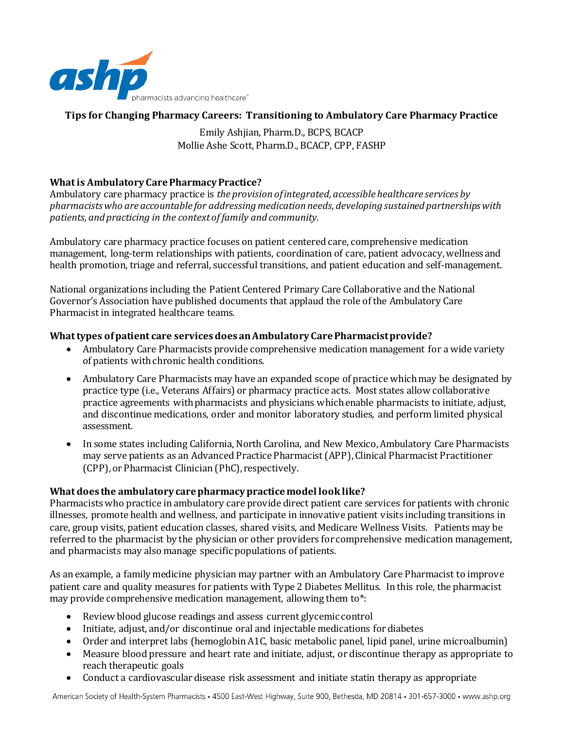

## **Tips for Changing Pharmacy Careers: Transitioning to Ambulatory Care Pharmacy Practice**

Emily Ashjian, Pharm.D., BCPS, BCACP Mollie Ashe Scott, Pharm.D., BCACP, CPP, FASHP

## **What is Ambulatory Care Pharmacy Practice?**

Ambulatory care pharmacy practice is *the provision of integrated, accessible healthcare services by pharmacists who are accountable for addressing medication needs, developing sustained partnerships with patients, and practicing in the context of family and community*.

Ambulatory care pharmacy practice focuses on patient centered care, comprehensive medication management, long-term relationships with patients, coordination of care, patient advocacy, wellness and health promotion, triage and referral, successful transitions, and patient education and self-management.

National organizations including the Patient Centered Primary Care Collaborative and the National Governor's Association have published documents that applaud the role of the Ambulatory Care Pharmacist in integrated healthcare teams.

#### **What types of patient care services does an Ambulatory Care Pharmacist provide?**

- Ambulatory Care Pharmacists provide comprehensive medication management for a wide variety of patients with chronic health conditions.
- Ambulatory Care Pharmacists may have an expanded scope of practice which may be designated by practice type (i.e., Veterans Affairs) or pharmacy practice acts. Most states allow collaborative practice agreements withpharmacists and physicians which enable pharmacists to initiate, adjust, and discontinue medications, order and monitor laboratory studies, and perform limited physical assessment.
- In some states including California, North Carolina, and New Mexico, Ambulatory Care Pharmacists may serve patients as an Advanced Practice Pharmacist (APP), Clinical Pharmacist Practitioner (CPP), or Pharmacist Clinician (PhC), respectively.

#### **What does the ambulatory care pharmacy practice model look like?**

Pharmacists who practice in ambulatory care provide direct patient care services for patients with chronic illnesses, promote health and wellness, and participate in innovative patient visits including transitions in care, group visits, patient education classes, shared visits, and Medicare Wellness Visits. Patients may be referred to the pharmacist by the physician or other providers for comprehensive medication management, and pharmacists may also manage specific populations of patients.

As an example, a family medicine physician may partner with an Ambulatory Care Pharmacist to improve patient care and quality measures for patients with Type 2 Diabetes Mellitus. In this role, the pharmacist may provide comprehensive medication management, allowing them to\*:

- Review blood glucose readings and assess current glycemic control
- Initiate, adjust, and/or discontinue oral and injectable medications for diabetes
- Order and interpret labs (hemoglobin A1C, basic metabolic panel, lipid panel, urine microalbumin)
- Measure blood pressure and heart rate and initiate, adjust, or discontinue therapy as appropriate to reach therapeutic goals
- Conduct a cardiovascular disease risk assessment and initiate statin therapy as appropriate

American Society of Health-System Pharmacists • 4500 East-West Highway, Suite 900, Bethesda, MD 20814 • 301-657-3000 • www.ashp.org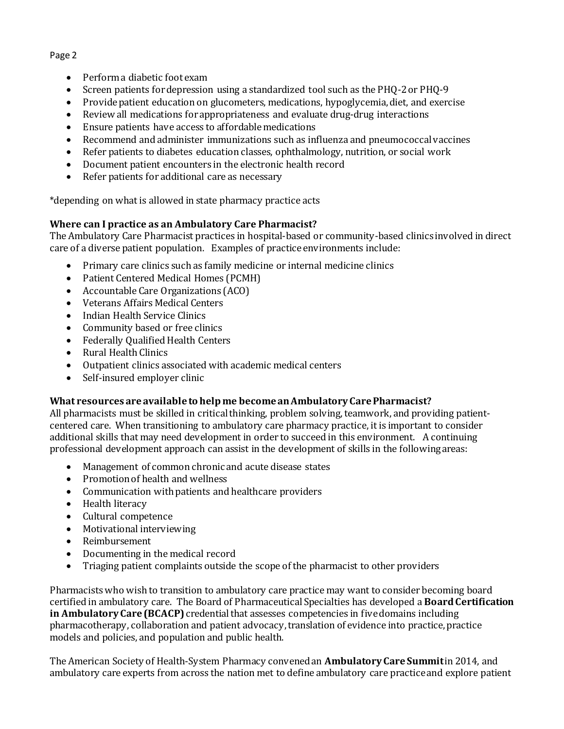- Perform a diabetic foot exam
- Screen patients for depression using a standardized tool such as the PHQ-2 or PHQ-9
- Provide patient education on glucometers, medications, hypoglycemia, diet, and exercise
- Review all medications for appropriateness and evaluate drug-drug interactions
- Ensure patients have access to affordable medications
- Recommend and administer immunizations such as influenza and pneumococcal vaccines
- Refer patients to diabetes education classes, ophthalmology, nutrition, or social work
- Document patient encounters in the electronic health record<br>• Refer patients for additional care as necessary
- Refer patients for additional care as necessary

\*depending on what is allowed in state pharmacy practice acts

### **Where can I practice as an Ambulatory Care Pharmacist?**

The Ambulatory Care Pharmacist practices in hospital-based or community-based clinics involved in direct care of a diverse patient population. Examples of practice environments include:

- Primary care clinics such as family medicine or internal medicine clinics
- Patient Centered Medical Homes (PCMH)
- Accountable Care Organizations (ACO)
- Veterans Affairs Medical Centers
- Indian Health Service Clinics
- Community based or free clinics
- Federally Qualified Health Centers
- Rural Health Clinics
- Outpatient clinics associated with academic medical centers
- Self-insured employer clinic

# **What resources are available to help me become an Ambulatory Care Pharmacist?**

All pharmacists must be skilled in critical thinking, problem solving, teamwork, and providing patientcentered care. When transitioning to ambulatory care pharmacy practice, it is important to consider additional skills that may need development in order to succeed in this environment. A continuing professional development approach can assist in the development of skills in the following areas:

- Management of common chronic and acute disease states
- Promotion of health and wellness
- Communication with patients and healthcare providers
- Health literacy
- Cultural competence
- Motivational interviewing
- Reimbursement
- Documenting in the medical record<br>• Triaging natient complaints outside
- Triaging patient complaints outside the scope of the pharmacist to other providers

Pharmacists who wish to transition to ambulatory care practice may want to consider becoming board certified in ambulatory care. The Board of Pharmaceutical Specialties has developed a **Board Certification in Ambulatory Care (BCACP)** credential that assesses competencies in five domains including pharmacotherapy, collaboration and patient advocacy, translation of evidence into practice, practice models and policies, and population and public health.

The American Society of Health-System Pharmacy convened an **Ambulatory Care Summit**in 2014, and ambulatory care experts from across the nation met to define ambulatory care practice and explore patient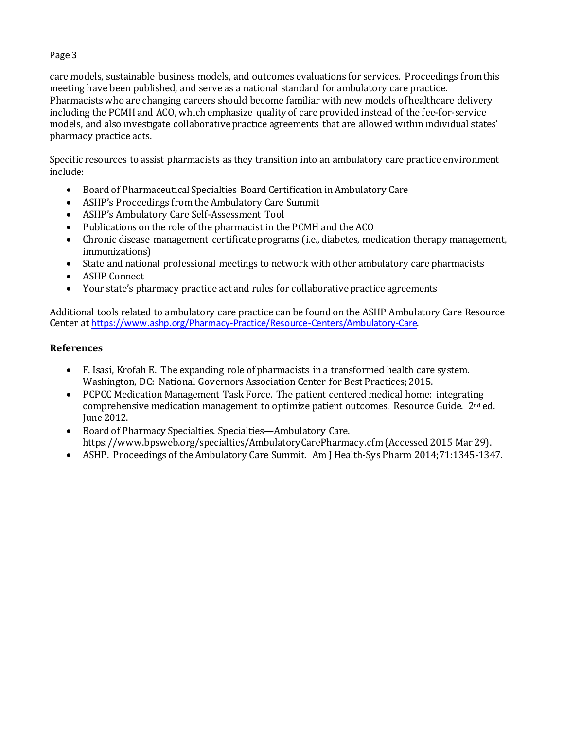care models, sustainable business models, and outcomes evaluations for services. Proceedings from this meeting have been published, and serve as a national standard for ambulatory care practice. Pharmacists who are changing careers should become familiar with new models of healthcare delivery including the PCMH and ACO, which emphasize quality of care provided instead of the fee-for-service models, and also investigate collaborative practice agreements that are allowed within individual states' pharmacy practice acts.

Specific resources to assist pharmacists as they transition into an ambulatory care practice environment include:

- Board of Pharmaceutical Specialties Board Certification in Ambulatory Care
- ASHP's Proceedings from the Ambulatory Care Summit
- ASHP's Ambulatory Care Self-Assessment Tool
- Publications on the role of the pharmacist in the PCMH and the ACO
- Chronic disease management certificate programs (i.e., diabetes, medication therapy management, immunizations)
- State and national professional meetings to network with other ambulatory care pharmacists
- ASHP Connect
- Your state's pharmacy practice act and rules for collaborative practice agreements

Additional tools related to ambulatory care practice can be found on the ASHP Ambulatory Care Resource Center at <https://www.ashp.org/Pharmacy-Practice/Resource-Centers/Ambulatory-Care>.

### **References**

- F. Isasi, Krofah E. The expanding role of pharmacists in a transformed health care system. Washington, DC: National Governors Association Center for Best Practices; 2015.
- PCPCC Medication Management Task Force. The patient centered medical home: integrating comprehensive medication management to optimize patient outcomes. Resource Guide.  $2<sup>nd</sup>$  ed. June 2012.
- Board of Pharmacy Specialties. Specialties—Ambulatory Care. https://www.bpsweb.org/specialties/AmbulatoryCarePharmacy.cfm (Accessed 2015 Mar 29).
- ASHP. Proceedings of the Ambulatory Care Summit. Am J Health-Sys Pharm 2014;71:1345-1347.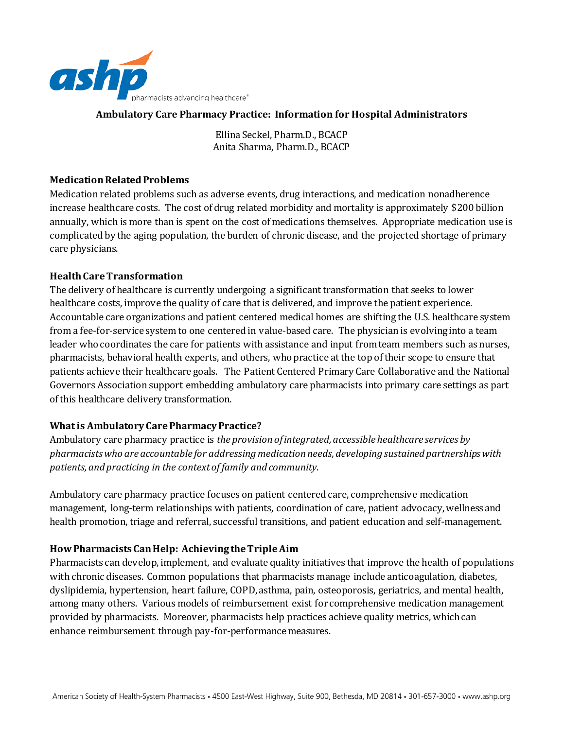

#### **Ambulatory Care Pharmacy Practice: Information for Hospital Administrators**

Ellina Seckel, Pharm.D., BCACP Anita Sharma, Pharm.D., BCACP

#### **Medication Related Problems**

Medication related problems such as adverse events, drug interactions, and medication nonadherence increase healthcare costs. The cost of drug related morbidity and mortality is approximately \$200 billion annually, which is more than is spent on the cost of medications themselves. Appropriate medication use is complicated by the aging population, the burden of chronic disease, and the projected shortage of primary care physicians.

#### **Health Care Transformation**

The delivery of healthcare is currently undergoing a significant transformation that seeks to lower healthcare costs, improve the quality of care that is delivered, and improve the patient experience. Accountable care organizations and patient centered medical homes are shifting the U.S. healthcare system from a fee-for-service system to one centered in value-based care. The physician is evolving into a team leader who coordinates the care for patients with assistance and input from team members such as nurses, pharmacists, behavioral health experts, and others, who practice at the top of their scope to ensure that patients achieve their healthcare goals. The Patient Centered Primary Care Collaborative and the National Governors Association support embedding ambulatory care pharmacists into primary care settings as part of this healthcare delivery transformation.

#### **What is Ambulatory Care Pharmacy Practice?**

Ambulatory care pharmacy practice is *the provision of integrated, accessible healthcare services by pharmacists who are accountable for addressing medication needs, developing sustained partnerships with patients, and practicing in the context of family and community*.

Ambulatory care pharmacy practice focuses on patient centered care, comprehensive medication management, long-term relationships with patients, coordination of care, patient advocacy, wellness and health promotion, triage and referral, successful transitions, and patient education and self-management.

#### **How Pharmacists Can Help: Achieving the Triple Aim**

Pharmacists can develop, implement, and evaluate quality initiatives that improve the health of populations with chronic diseases. Common populations that pharmacists manage include anticoagulation, diabetes, dyslipidemia, hypertension, heart failure, COPD, asthma, pain, osteoporosis, geriatrics, and mental health, among many others. Various models of reimbursement exist for comprehensive medication management provided by pharmacists. Moreover, pharmacists help practices achieve quality metrics, which can enhance reimbursement through pay-for-performance measures.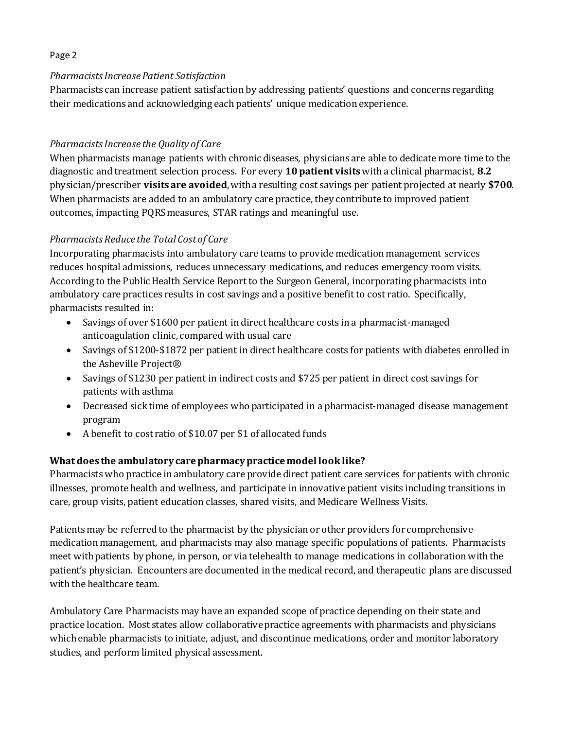#### *Pharmacists Increase Patient Satisfaction*

Pharmacists can increase patient satisfaction by addressing patients' questions and concerns regarding their medications and acknowledging each patients' unique medication experience.

# *Pharmacists Increase the Quality of Care*

When pharmacists manage patients with chronic diseases, physicians are able to dedicate more time to the diagnostic and treatment selection process. For every **10 patient visits**with a clinical pharmacist, **8.2**  physician/prescriber **visits are avoided**, with a resulting cost savings per patient projected at nearly **\$700***.*  When pharmacists are added to an ambulatory care practice, they contribute to improved patient outcomes, impacting PQRS measures, STAR ratings and meaningful use.

# *Pharmacists Reduce the Total Cost of Care*

Incorporating pharmacists into ambulatory care teams to provide medication management services reduces hospital admissions, reduces unnecessary medications, and reduces emergency room visits. According to the Public Health Service Report to the Surgeon General, incorporating pharmacists into ambulatory care practices results in cost savings and a positive benefit to cost ratio. Specifically, pharmacists resulted in:

- Savings of over \$1600 per patient in direct healthcare costs in a pharmacist-managed anticoagulation clinic, compared with usual care
- Savings of \$1200-\$1872 per patient in direct healthcare costs for patients with diabetes enrolled in the Asheville Project®
- Savings of \$1230 per patient in indirect costs and \$725 per patient in direct cost savings for patients with asthma
- Decreased sick time of employees who participated in a pharmacist-managed disease management program
- A benefit to cost ratio of \$10.07 per \$1 of allocated funds

# **What does the ambulatory care pharmacy practice model look like?**

Pharmacists who practice in ambulatory care provide direct patient care services for patients with chronic illnesses, promote health and wellness, and participate in innovative patient visits including transitions in care, group visits, patient education classes, shared visits, and Medicare Wellness Visits.

Patients may be referred to the pharmacist by the physician or other providers for comprehensive medication management, and pharmacists may also manage specific populations of patients. Pharmacists meet with patients by phone, in person, or via telehealth to manage medications in collaboration with the patient's physician. Encounters are documented in the medical record, and therapeutic plans are discussed with the healthcare team.

Ambulatory Care Pharmacists may have an expanded scope of practice depending on their state and practice location. Most states allow collaborative practice agreements with pharmacists and physicians which enable pharmacists to initiate, adjust, and discontinue medications, order and monitor laboratory studies, and perform limited physical assessment.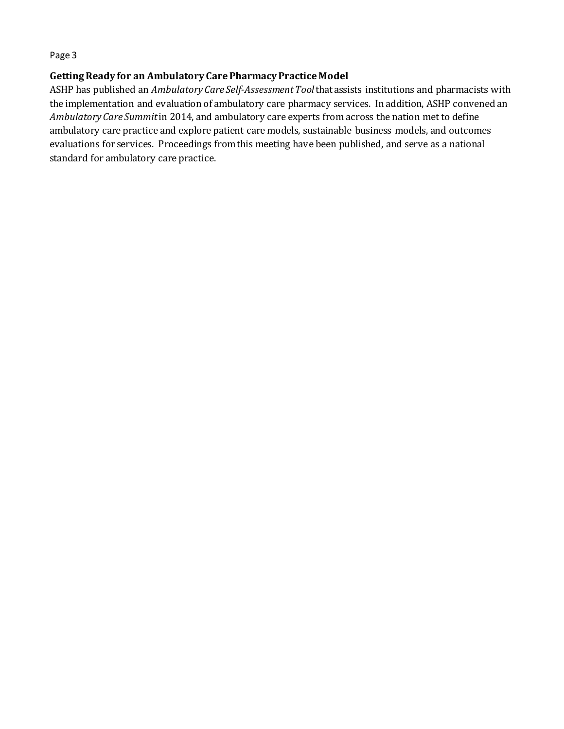#### **Getting Ready for an Ambulatory Care Pharmacy Practice Model**

ASHP has published an *Ambulatory Care Self-Assessment Tool*that assists institutions and pharmacists with the implementation and evaluation of ambulatory care pharmacy services. In addition, ASHP convened an *Ambulatory Care Summit*in 2014, and ambulatory care experts from across the nation met to define ambulatory care practice and explore patient care models, sustainable business models, and outcomes evaluations for services. Proceedings from this meeting have been published, and serve as a national standard for ambulatory care practice.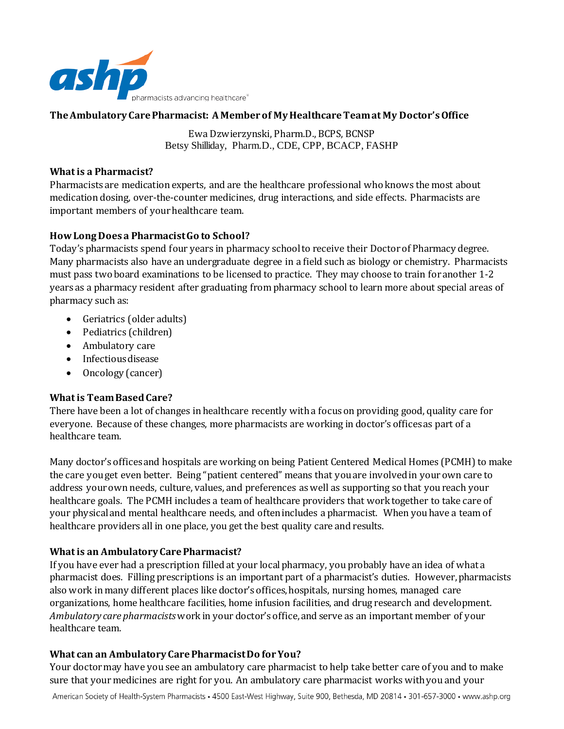

#### **The Ambulatory Care Pharmacist: A Member of My Healthcare Team at My Doctor's Office**

Ewa Dzwierzynski, Pharm.D., BCPS, BCNSP Betsy Shilliday, Pharm.D., CDE, CPP, BCACP, FASHP

#### **What is a Pharmacist?**

Pharmacists are medication experts, and are the healthcare professional who knows the most about medication dosing, over-the-counter medicines, drug interactions, and side effects. Pharmacists are important members of your healthcare team.

#### **How Long Does a Pharmacist Go to School?**

Today's pharmacists spend four years in pharmacy school to receive their Doctor of Pharmacy degree. Many pharmacists also have an undergraduate degree in a field such as biology or chemistry. Pharmacists must pass two board examinations to be licensed to practice. They may choose to train for another 1-2 years as a pharmacy resident after graduating from pharmacy school to learn more about special areas of pharmacy such as:

- Geriatrics (older adults)
- Pediatrics (children)
- Ambulatory care
- Infectious disease
- Oncology (cancer)

#### **Whatis Team Based Care?**

There have been a lot of changes in healthcare recently with a focus on providing good, quality care for everyone. Because of these changes, more pharmacists are working in doctor's offices as part of a healthcare team.

Many doctor's offices and hospitals are working on being Patient Centered Medical Homes (PCMH) to make the care you get even better. Being "patient centered" means that you are involved in your own care to address your own needs, culture, values, and preferences as well as supporting so that you reach your healthcare goals. The PCMH includes a team of healthcare providers that work together to take care of your physical and mental healthcare needs, and often includes a pharmacist. When you have a team of healthcare providers all in one place, you get the best quality care and results.

#### **What is an Ambulatory Care Pharmacist?**

If you have ever had a prescription filled at your local pharmacy, you probably have an idea of what a pharmacist does. Filling prescriptions is an important part of a pharmacist's duties. However, pharmacists also work in many different places like doctor's offices, hospitals, nursing homes, managed care organizations, home healthcare facilities, home infusion facilities, and drug research and development. *Ambulatory care pharmacists* work in your doctor's office, and serve as an important member of your healthcare team.

#### **What can an Ambulatory Care Pharmacist Do for You?**

Your doctor may have you see an ambulatory care pharmacist to help take better care of you and to make sure that your medicines are right for you. An ambulatory care pharmacist works with you and your